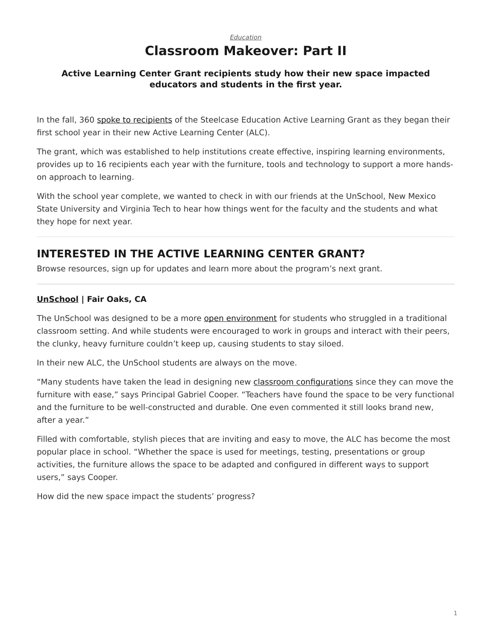# *[Education](https://www.steelcase.com/research/topics/education/)* **Classroom Makeover: Part II**

## <span id="page-0-0"></span>**Active Learning Center Grant recipients study how their new space impacted educators and students in the first year.**

In the fall, 360 [spoke to recipients](https://www.steelcase.com/research/articles/topics/education/classroom-revamp/) of the Steelcase Education Active Learning Grant as they began their first school year in their new Active Learning Center (ALC).

The grant, which was established to help institutions create effective, inspiring learning environments, provides up to 16 recipients each year with the furniture, tools and technology to support a more handson approach to learning.

With the school year complete, we wanted to check in with our friends at the UnSchool, New Mexico State University and Virginia Tech to hear how things went for the faculty and the students and what they hope for next year.

# **INTERESTED IN THE ACTIVE LEARNING CENTER GRANT?**

Browse resources, sign up for updates and learn more about the program's next grant.

## **[UnSchool](https://www.sanjuan.edu/unschool) | Fair Oaks, CA**

The UnSchool was designed to be a more [open environment](https://www.steelcase.com/spaces-inspiration/active-learning-spaces-in-between-spaces/) for students who struggled in a traditional classroom setting. And while students were encouraged to work in groups and interact with their peers, the clunky, heavy furniture couldn't keep up, causing students to stay siloed.

In their new ALC, the UnSchool students are always on the move.

"Many students have taken the lead in designing new [classroom configurations](https://www.steelcase.com/spaces-inspiration/active-learning-spaces-classrooms/) since they can move the furniture with ease," says Principal Gabriel Cooper. "Teachers have found the space to be very functional and the furniture to be well-constructed and durable. One even commented it still looks brand new, after a year."

Filled with comfortable, stylish pieces that are inviting and easy to move, the ALC has become the most popular place in school. "Whether the space is used for meetings, testing, presentations or group activities, the furniture allows the space to be adapted and configured in different ways to support users," says Cooper.

How did the new space impact the students' progress?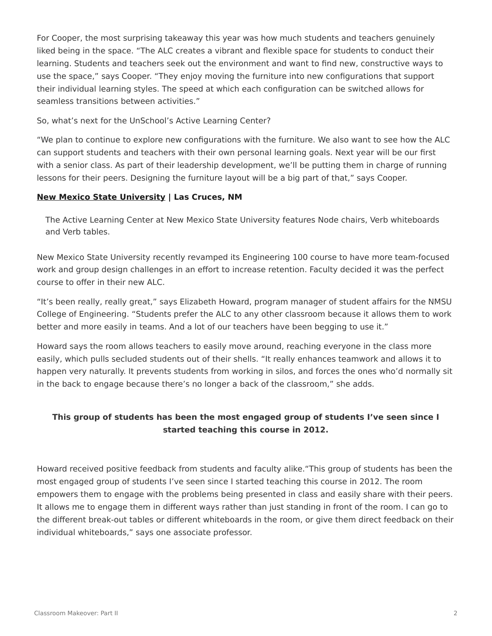For Cooper, the most surprising takeaway this year was how much students and teachers genuinely liked being in the space. "The ALC creates a vibrant and flexible space for students to conduct their learning. Students and teachers seek out the environment and want to find new, constructive ways to use the space," says Cooper. "They enjoy moving the furniture into new configurations that support their individual learning styles. The speed at which each configuration can be switched allows for seamless transitions between activities."

So, what's next for the UnSchool's Active Learning Center?

"We plan to continue to explore new configurations with the furniture. We also want to see how the ALC can support students and teachers with their own personal learning goals. Next year will be our first with a senior class. As part of their leadership development, we'll be putting them in charge of running lessons for their peers. Designing the furniture layout will be a big part of that," says Cooper.

#### **[New Mexico State University](https://nmsu.edu/) | Las Cruces, NM**

The Active Learning Center at New Mexico State University features Node chairs, Verb whiteboards and Verb tables.

New Mexico State University recently revamped its Engineering 100 course to have more team-focused work and group design challenges in an effort to increase retention. Faculty decided it was the perfect course to offer in their new ALC.

"It's been really, really great," says Elizabeth Howard, program manager of student affairs for the NMSU College of Engineering. "Students prefer the ALC to any other classroom because it allows them to work better and more easily in teams. And a lot of our teachers have been begging to use it."

Howard says the room allows teachers to easily move around, reaching everyone in the class more easily, which pulls secluded students out of their shells. "It really enhances teamwork and allows it to happen very naturally. It prevents students from working in silos, and forces the ones who'd normally sit in the back to engage because there's no longer a back of the classroom," she adds.

## **This group of students has been the most engaged group of students I've seen since I started teaching this course in 2012.**

Howard received positive feedback from students and faculty alike."This group of students has been the most engaged group of students I've seen since I started teaching this course in 2012. The room empowers them to engage with the problems being presented in class and easily share with their peers. It allows me to engage them in different ways rather than just standing in front of the room. I can go to the different break-out tables or different whiteboards in the room, or give them direct feedback on their individual whiteboards," says one associate professor.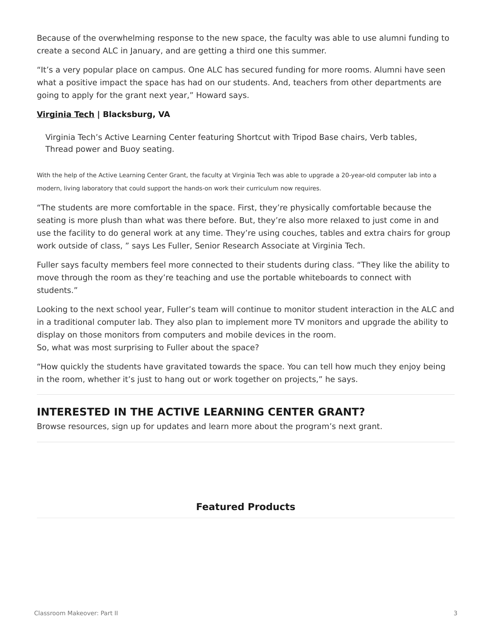Because of the overwhelming response to the new space, the faculty was able to use alumni funding to create a second ALC in January, and are getting a third one this summer.

"It's a very popular place on campus. One ALC has secured funding for more rooms. Alumni have seen what a positive impact the space has had on our students. And, teachers from other departments are going to apply for the grant next year," Howard says.

## **[Virginia Tech](https://vt.edu/) | Blacksburg, VA**

Virginia Tech's Active Learning Center featuring Shortcut with Tripod Base chairs, Verb tables, Thread power and Buoy seating.

With the help of the Active Learning Center Grant, the faculty at Virginia Tech was able to upgrade a 20-year-old computer lab into a modern, living laboratory that could support the hands-on work their curriculum now requires.

"The students are more comfortable in the space. First, they're physically comfortable because the seating is more plush than what was there before. But, they're also more relaxed to just come in and use the facility to do general work at any time. They're using couches, tables and extra chairs for group work outside of class, " says Les Fuller, Senior Research Associate at Virginia Tech.

Fuller says faculty members feel more connected to their students during class. "They like the ability to move through the room as they're teaching and use the portable whiteboards to connect with students."

Looking to the next school year, Fuller's team will continue to monitor student interaction in the ALC and in a traditional computer lab. They also plan to implement more TV monitors and upgrade the ability to display on those monitors from computers and mobile devices in the room. So, what was most surprising to Fuller about the space?

"How quickly the students have gravitated towards the space. You can tell how much they enjoy being in the room, whether it's just to hang out or work together on projects," he says.

# **INTERESTED IN THE ACTIVE LEARNING CENTER GRANT?**

Browse resources, sign up for updates and learn more about the program's next grant.

## **Featured Products**